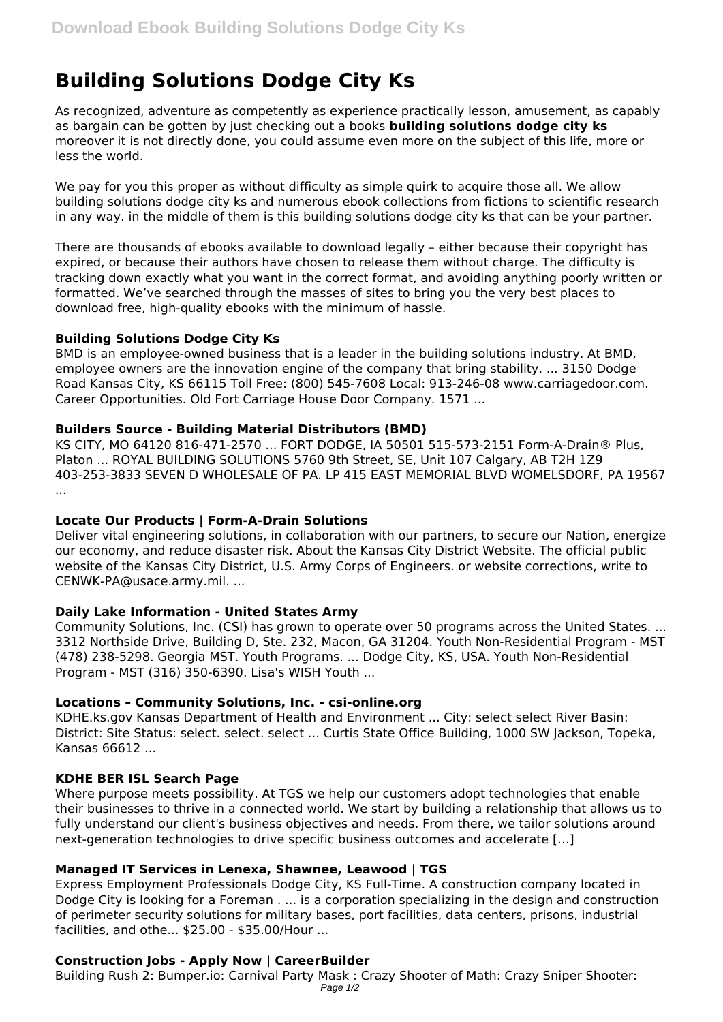# **Building Solutions Dodge City Ks**

As recognized, adventure as competently as experience practically lesson, amusement, as capably as bargain can be gotten by just checking out a books **building solutions dodge city ks** moreover it is not directly done, you could assume even more on the subject of this life, more or less the world.

We pay for you this proper as without difficulty as simple quirk to acquire those all. We allow building solutions dodge city ks and numerous ebook collections from fictions to scientific research in any way. in the middle of them is this building solutions dodge city ks that can be your partner.

There are thousands of ebooks available to download legally – either because their copyright has expired, or because their authors have chosen to release them without charge. The difficulty is tracking down exactly what you want in the correct format, and avoiding anything poorly written or formatted. We've searched through the masses of sites to bring you the very best places to download free, high-quality ebooks with the minimum of hassle.

#### **Building Solutions Dodge City Ks**

BMD is an employee-owned business that is a leader in the building solutions industry. At BMD, employee owners are the innovation engine of the company that bring stability. ... 3150 Dodge Road Kansas City, KS 66115 Toll Free: (800) 545-7608 Local: 913-246-08 www.carriagedoor.com. Career Opportunities. Old Fort Carriage House Door Company. 1571 ...

#### **Builders Source - Building Material Distributors (BMD)**

KS CITY, MO 64120 816-471-2570 ... FORT DODGE, IA 50501 515-573-2151 Form-A-Drain® Plus, Platon ... ROYAL BUILDING SOLUTIONS 5760 9th Street, SE, Unit 107 Calgary, AB T2H 1Z9 403-253-3833 SEVEN D WHOLESALE OF PA. LP 415 EAST MEMORIAL BLVD WOMELSDORF, PA 19567 ...

# **Locate Our Products | Form-A-Drain Solutions**

Deliver vital engineering solutions, in collaboration with our partners, to secure our Nation, energize our economy, and reduce disaster risk. About the Kansas City District Website. The official public website of the Kansas City District, U.S. Army Corps of Engineers. or website corrections, write to CENWK-PA@usace.army.mil. ...

# **Daily Lake Information - United States Army**

Community Solutions, Inc. (CSI) has grown to operate over 50 programs across the United States. ... 3312 Northside Drive, Building D, Ste. 232, Macon, GA 31204. Youth Non-Residential Program - MST (478) 238-5298. Georgia MST. Youth Programs. ... Dodge City, KS, USA. Youth Non-Residential Program - MST (316) 350-6390. Lisa's WISH Youth ...

# **Locations – Community Solutions, Inc. - csi-online.org**

KDHE.ks.gov Kansas Department of Health and Environment ... City: select select River Basin: District: Site Status: select. select. select ... Curtis State Office Building, 1000 SW Jackson, Topeka, Kansas 66612 ...

# **KDHE BER ISL Search Page**

Where purpose meets possibility. At TGS we help our customers adopt technologies that enable their businesses to thrive in a connected world. We start by building a relationship that allows us to fully understand our client's business objectives and needs. From there, we tailor solutions around next-generation technologies to drive specific business outcomes and accelerate […]

# **Managed IT Services in Lenexa, Shawnee, Leawood | TGS**

Express Employment Professionals Dodge City, KS Full-Time. A construction company located in Dodge City is looking for a Foreman . ... is a corporation specializing in the design and construction of perimeter security solutions for military bases, port facilities, data centers, prisons, industrial facilities, and othe... \$25.00 - \$35.00/Hour ...

# **Construction Jobs - Apply Now | CareerBuilder**

Building Rush 2: Bumper.io: Carnival Party Mask : Crazy Shooter of Math: Crazy Sniper Shooter: Page 1/2